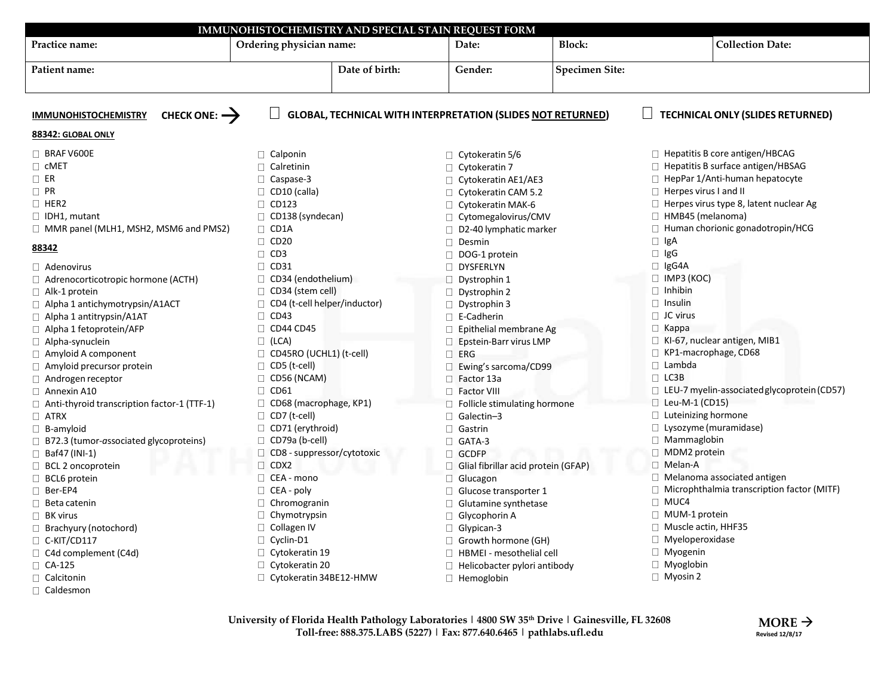| Practice name:                                          | IMMUNOHISTOCHEMISTRY AND SPECIAL STAIN REQUEST FORM<br>Ordering physician name: | Date:                                                              | <b>Block:</b>         |                                               | <b>Collection Date:</b>                           |
|---------------------------------------------------------|---------------------------------------------------------------------------------|--------------------------------------------------------------------|-----------------------|-----------------------------------------------|---------------------------------------------------|
| Patient name:                                           | Date of birth:                                                                  | Gender:                                                            | <b>Specimen Site:</b> |                                               |                                                   |
|                                                         |                                                                                 |                                                                    |                       |                                               |                                                   |
|                                                         |                                                                                 |                                                                    |                       |                                               |                                                   |
| CHECK ONE: $\rightarrow$<br><b>IMMUNOHISTOCHEMISTRY</b> |                                                                                 | <b>GLOBAL, TECHNICAL WITH INTERPRETATION (SLIDES NOT RETURNED)</b> |                       |                                               | <b>TECHNICAL ONLY (SLIDES RETURNED)</b>           |
| 88342: GLOBAL ONLY                                      |                                                                                 |                                                                    |                       |                                               |                                                   |
| $\Box$ BRAF V600E                                       | $\Box$ Calponin                                                                 | $\Box$ Cytokeratin 5/6                                             |                       | □ Hepatitis B core antigen/HBCAG              |                                                   |
| $\Box$ CMET                                             | $\Box$ Calretinin                                                               | $\Box$ Cytokeratin 7                                               |                       | □ Hepatitis B surface antigen/HBSAG           |                                                   |
| $\Box$ ER                                               | $\Box$ Caspase-3                                                                | $\Box$ Cytokeratin AE1/AE3                                         |                       | $\Box$ HepPar 1/Anti-human hepatocyte         |                                                   |
| $\Box$ PR                                               | $\Box$ CD10 (calla)                                                             | □ Cytokeratin CAM 5.2                                              |                       | $\Box$ Herpes virus I and II                  |                                                   |
| $\Box$ HER2                                             | $\Box$ CD123                                                                    | $\Box$ Cytokeratin MAK-6                                           |                       | $\Box$ Herpes virus type 8, latent nuclear Ag |                                                   |
| $\Box$ IDH1, mutant                                     | $\Box$ CD138 (syndecan)                                                         | □ Cytomegalovirus/CMV                                              |                       | HMB45 (melanoma)<br>0                         |                                                   |
| $\Box$ MMR panel (MLH1, MSH2, MSM6 and PMS2)            | $\Box$ CD1A                                                                     | $\Box$ D2-40 lymphatic marker                                      |                       |                                               | □ Human chorionic gonadotropin/HCG                |
| 88342                                                   | $\Box$ CD20                                                                     | $\Box$ Desmin                                                      |                       | $\Box$ IgA                                    |                                                   |
|                                                         | $\Box$ CD3                                                                      | $\Box$ DOG-1 protein                                               |                       | $\Box$ IgG                                    |                                                   |
| $\Box$ Adenovirus                                       | $\Box$ CD31                                                                     | DYSFERLYN                                                          |                       | $\Box$ IgG4A                                  |                                                   |
| □ Adrenocorticotropic hormone (ACTH)                    | $\Box$ CD34 (endothelium)                                                       | $\Box$ Dystrophin 1                                                |                       | $\Box$ IMP3 (KOC)                             |                                                   |
| $\Box$ Alk-1 protein                                    | $\Box$ CD34 (stem cell)                                                         | $\Box$ Dystrophin 2                                                |                       | $\Box$ Inhibin                                |                                                   |
| □ Alpha 1 antichymotrypsin/A1ACT                        | $\Box$ CD4 (t-cell helper/inductor)                                             | $\Box$ Dystrophin 3                                                |                       | $\Box$ Insulin                                |                                                   |
| $\Box$ Alpha 1 antitrypsin/A1AT                         | $\Box$ CD43                                                                     | $\Box$ E-Cadherin                                                  |                       | $\Box$ JC virus                               |                                                   |
| $\Box$ Alpha 1 fetoprotein/AFP                          | $\Box$ CD44 CD45                                                                | $\Box$ Epithelial membrane Ag                                      |                       | $\Box$ Kappa                                  |                                                   |
| □ Alpha-synuclein                                       | $\Box$ (LCA)                                                                    | $\Box$ Epstein-Barr virus LMP                                      |                       |                                               | $\Box$ KI-67, nuclear antigen, MIB1               |
| $\Box$ Amyloid A component                              | $\Box$ CD45RO (UCHL1) (t-cell)                                                  | $\Box$ ERG                                                         |                       | $\Box$                                        | KP1-macrophage, CD68                              |
| $\Box$ Amyloid precursor protein                        | $\Box$ CD5 (t-cell)                                                             | $\Box$ Ewing's sarcoma/CD99                                        |                       | $\Box$ Lambda                                 |                                                   |
| $\Box$ Androgen receptor                                | $\Box$ CD56 (NCAM)                                                              | $\Box$ Factor 13a                                                  |                       | $\Box$ LC3B                                   |                                                   |
| $\Box$ Annexin A10                                      | $\Box$ CD61                                                                     | $\Box$ Factor VIII                                                 |                       |                                               | □ LEU-7 myelin-associated glycoprotein (CD57)     |
| $\Box$ Anti-thyroid transcription factor-1 (TTF-1)      | $\Box$ CD68 (macrophage, KP1)                                                   | $\Box$ Follicle stimulating hormone                                |                       | $\Box$ Leu-M-1 (CD15)                         |                                                   |
| $\Box$ ATRX                                             | $\Box$ CD7 (t-cell)                                                             | $\Box$ Galectin-3                                                  |                       | $\Box$ Luteinizing hormone                    |                                                   |
| $\Box$ B-amyloid                                        | $\Box$ CD71 (erythroid)                                                         | $\Box$ Gastrin                                                     |                       | □ Lysozyme (muramidase)                       |                                                   |
| $\Box$ B72.3 (tumor-associated glycoproteins)           | $\Box$ CD79a (b-cell)                                                           | $\Box$ GATA-3                                                      |                       | □ Mammaglobin                                 |                                                   |
| $\Box$ Baf47 (INI-1)                                    | $\Box$ CD8 - suppressor/cytotoxic                                               | □ GCDFP                                                            |                       | □ MDM2 protein                                |                                                   |
| $\Box$ BCL 2 oncoprotein                                | $\Box$ CDX2                                                                     | Glial fibrillar acid protein (GFAP)                                |                       | $\Box$ Melan-A                                |                                                   |
| $\Box$ BCL6 protein                                     | $\Box$ CEA - mono                                                               | Glucagon                                                           |                       |                                               | $\Box$ Melanoma associated antigen                |
| □ Ber-EP4                                               | $\Box$ CEA - poly                                                               | $\Box$ Glucose transporter 1                                       |                       |                                               | $\Box$ Microphthalmia transcription factor (MITF) |
| $\Box$ Beta catenin                                     | $\Box$ Chromogranin                                                             | $\Box$ Glutamine synthetase                                        |                       | $\Box$ MUC4                                   |                                                   |
| $\Box$ BK virus                                         | $\Box$ Chymotrypsin                                                             | $\Box$ Glycophorin A                                               |                       | $\Box$ MUM-1 protein                          |                                                   |
| $\Box$ Brachyury (notochord)                            | $\Box$ Collagen IV                                                              | $\Box$ Glypican-3                                                  |                       | $\Box$ Muscle actin, HHF35                    |                                                   |
| $\Box$ C-KIT/CD117                                      | $\Box$ Cyclin-D1                                                                | □ Growth hormone (GH)                                              |                       | $\Box$ Myeloperoxidase                        |                                                   |
|                                                         | $\Box$ Cytokeratin 19                                                           | □ HBMEI - mesothelial cell                                         |                       | $\Box$ Myogenin                               |                                                   |
| $\Box$ C4d complement (C4d)<br>$\Box$ CA-125            | $\Box$ Cytokeratin 20                                                           |                                                                    |                       | $\Box$ Myoglobin                              |                                                   |
|                                                         |                                                                                 | $\Box$ Helicobacter pylori antibody                                |                       | $\Box$ Myosin 2                               |                                                   |
| $\Box$ Calcitonin                                       | $\Box$ Cytokeratin 34BE12-HMW                                                   | $\Box$ Hemoglobin                                                  |                       |                                               |                                                   |
| $\Box$ Caldesmon                                        |                                                                                 |                                                                    |                       |                                               |                                                   |

**University of Florida Health Pathology Laboratories | 4800 SW 35th Drive | Gainesville, FL 32608 Toll-free: 888.375.LABS (5227) | Fax: 877.640.6465 | pathlabs.ufl.edu**

 $MORE$ **Revised 12/8/17**